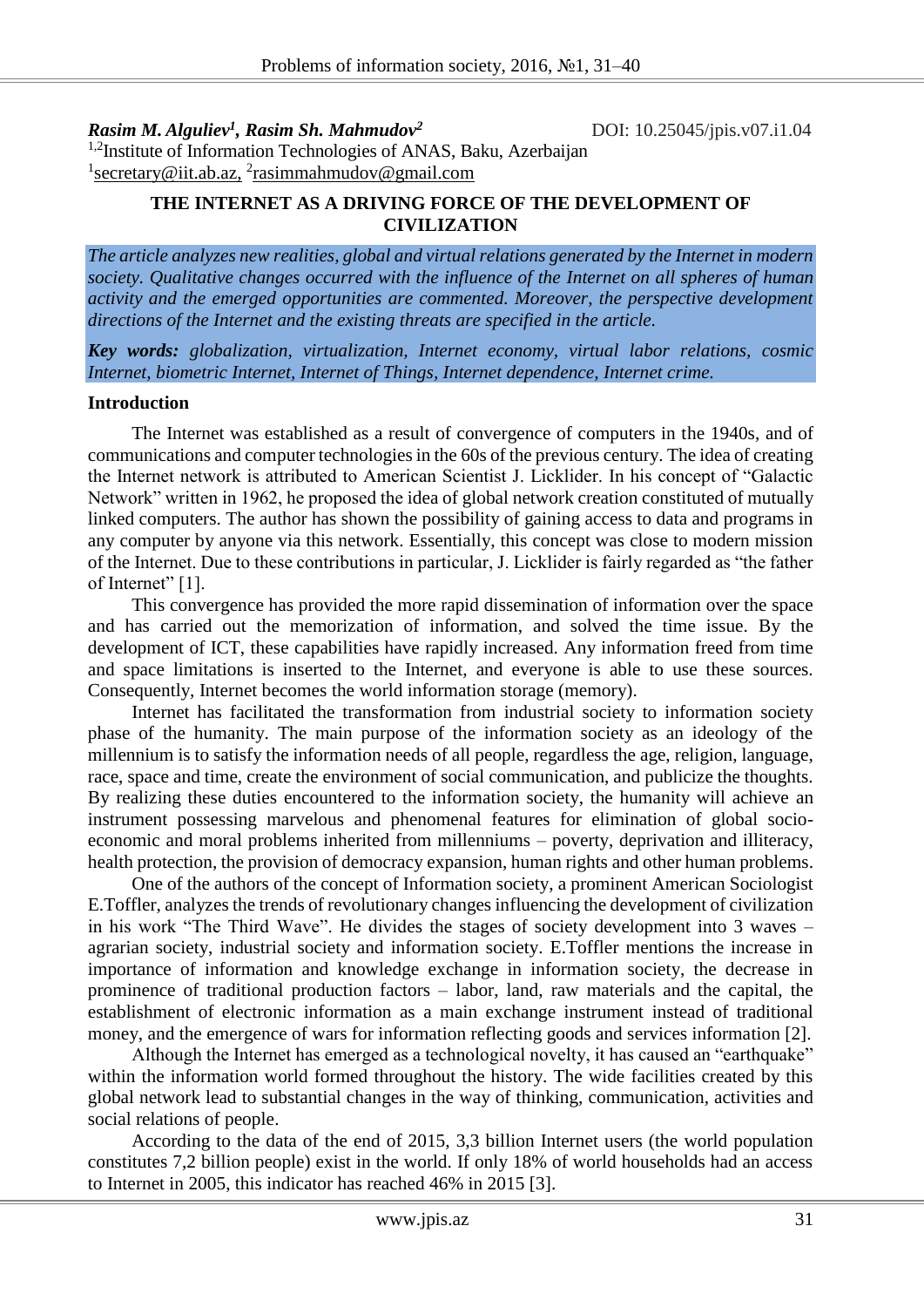*Rasim M. Alguliev<sup>1</sup> , Rasim Sh. Mahmudov<sup>2</sup>*

DOI: 10.25045/jpis.v07.i1.04

<sup>1,2</sup>Institute of Information Technologies of ANAS, Baku, Azerbaijan <sup>1</sup>[secretary@iit.ab.az,](mailto:secretary@iit.ab.az) <sup>2</sup>rasimmahmudov@gmail.com

## **THE INTERNET AS A DRIVING FORCE OF THE DEVELOPMENT OF CIVILIZATION**

*The article analyzes new realities, global and virtual relations generated by the Internet in modern society. Qualitative changes occurred with the influence of the Internet on all spheres of human activity and the emerged opportunities are commented. Moreover, the perspective development directions of the Internet and the existing threats are specified in the article.* 

*Key words: globalization, virtualization, Internet economy, virtual labor relations, cosmic Internet, biometric Internet, Internet of Things, Internet dependence, Internet crime.* 

#### **Introduction**

The Internet was established as a result of convergence of computers in the 1940s, and of communications and computer technologies in the 60s of the previous century. The idea of creating the Internet network is attributed to American Scientist J. Licklider. In his concept of "Galactic Network" written in 1962, he proposed the idea of global network creation constituted of mutually linked computers. The author has shown the possibility of gaining access to data and programs in any computer by anyone via this network. Essentially, this concept was close to modern mission of the Internet. Due to these contributions in particular, J. Licklider is fairly regarded as "the father of Internet" [1].

This convergence has provided the more rapid dissemination of information over the space and has carried out the memorization of information, and solved the time issue. By the development of ICT, these capabilities have rapidly increased. Any information freed from time and space limitations is inserted to the Internet, and everyone is able to use these sources. Consequently, Internet becomes the world information storage (memory).

Internet has facilitated the transformation from industrial society to information society phase of the humanity. The main purpose of the information society as an ideology of the millennium is to satisfy the information needs of all people, regardless the age, religion, language, race, space and time, create the environment of social communication, and publicize the thoughts. By realizing these duties encountered to the information society, the humanity will achieve an instrument possessing marvelous and phenomenal features for elimination of global socioeconomic and moral problems inherited from millenniums – poverty, deprivation and illiteracy, health protection, the provision of democracy expansion, human rights and other human problems.

One of the authors of the concept of Information society, a prominent American Sociologist E.Toffler, analyzes the trends of revolutionary changes influencing the development of civilization in his work "The Third Wave". He divides the stages of society development into 3 waves – agrarian society, industrial society and information society. E.Toffler mentions the increase in importance of information and knowledge exchange in information society, the decrease in prominence of traditional production factors – labor, land, raw materials and the capital, the establishment of electronic information as a main exchange instrument instead of traditional money, and the emergence of wars for information reflecting goods and services information [2].

Although the Internet has emerged as a technological novelty, it has caused an "earthquake" within the information world formed throughout the history. The wide facilities created by this global network lead to substantial changes in the way of thinking, communication, activities and social relations of people.

According to the data of the end of 2015, 3,3 billion Internet users (the world population constitutes 7,2 billion people) exist in the world. If only 18% of world households had an access to Internet in 2005, this indicator has reached 46% in 2015 [3].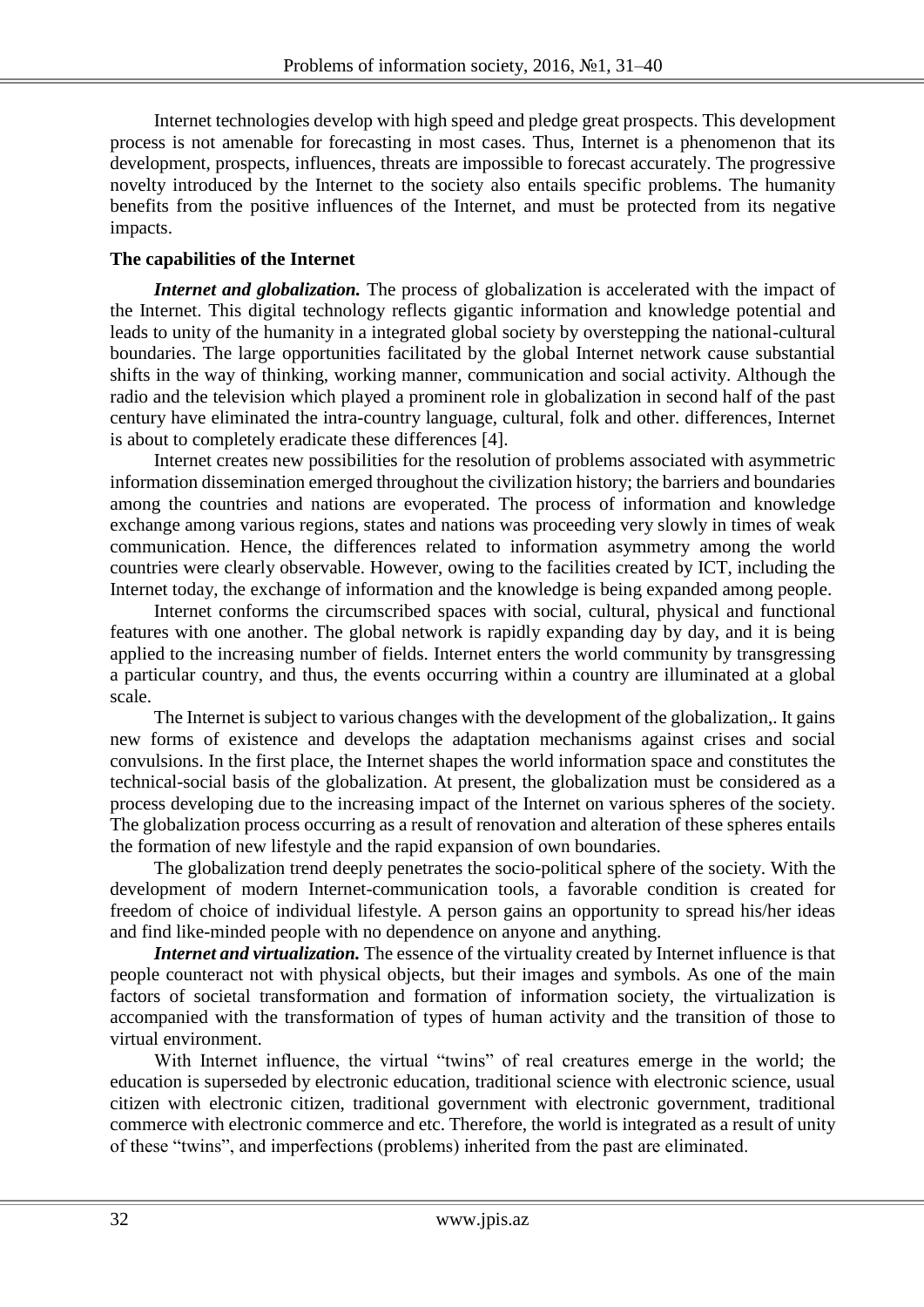Internet technologies develop with high speed and pledge great prospects. This development process is not amenable for forecasting in most cases. Thus, Internet is a phenomenon that its development, prospects, influences, threats are impossible to forecast accurately. The progressive novelty introduced by the Internet to the society also entails specific problems. The humanity benefits from the positive influences of the Internet, and must be protected from its negative impacts.

# **The capabilities of the Internet**

*Internet and globalization*. The process of globalization is accelerated with the impact of the Internet. This digital technology reflects gigantic information and knowledge potential and leads to unity of the humanity in a integrated global society by overstepping the national-cultural boundaries. The large opportunities facilitated by the global Internet network cause substantial shifts in the way of thinking, working manner, communication and social activity. Although the radio and the television which played a prominent role in globalization in second half of the past century have eliminated the intra-country language, cultural, folk and other. differences, Internet is about to completely eradicate these differences [4].

Internet creates new possibilities for the resolution of problems associated with asymmetric information dissemination emerged throughout the civilization history; the barriers and boundaries among the countries and nations are evoperated. The process of information and knowledge exchange among various regions, states and nations was proceeding very slowly in times of weak communication. Hence, the differences related to information asymmetry among the world countries were clearly observable. However, owing to the facilities created by ICT, including the Internet today, the exchange of information and the knowledge is being expanded among people.

Internet conforms the circumscribed spaces with social, cultural, physical and functional features with one another. The global network is rapidly expanding day by day, and it is being applied to the increasing number of fields. Internet enters the world community by transgressing a particular country, and thus, the events occurring within a country are illuminated at a global scale.

The Internet is subject to various changes with the development of the globalization,. It gains new forms of existence and develops the adaptation mechanisms against crises and social convulsions. In the first place, the Internet shapes the world information space and constitutes the technical-social basis of the globalization. At present, the globalization must be considered as a process developing due to the increasing impact of the Internet on various spheres of the society. The globalization process occurring as a result of renovation and alteration of these spheres entails the formation of new lifestyle and the rapid expansion of own boundaries.

The globalization trend deeply penetrates the socio-political sphere of the society. With the development of modern Internet-communication tools, a favorable condition is created for freedom of choice of individual lifestyle. A person gains an opportunity to spread his/her ideas and find like-minded people with no dependence on anyone and anything.

*Internet and virtualization*. The essence of the virtuality created by Internet influence is that people counteract not with physical objects, but their images and symbols. As one of the main factors of societal transformation and formation of information society, the virtualization is accompanied with the transformation of types of human activity and the transition of those to virtual environment.

With Internet influence, the virtual "twins" of real creatures emerge in the world; the education is superseded by electronic education, traditional science with electronic science, usual citizen with electronic citizen, traditional government with electronic government, traditional commerce with electronic commerce and etc. Therefore, the world is integrated as a result of unity of these "twins", and imperfections (problems) inherited from the past are eliminated.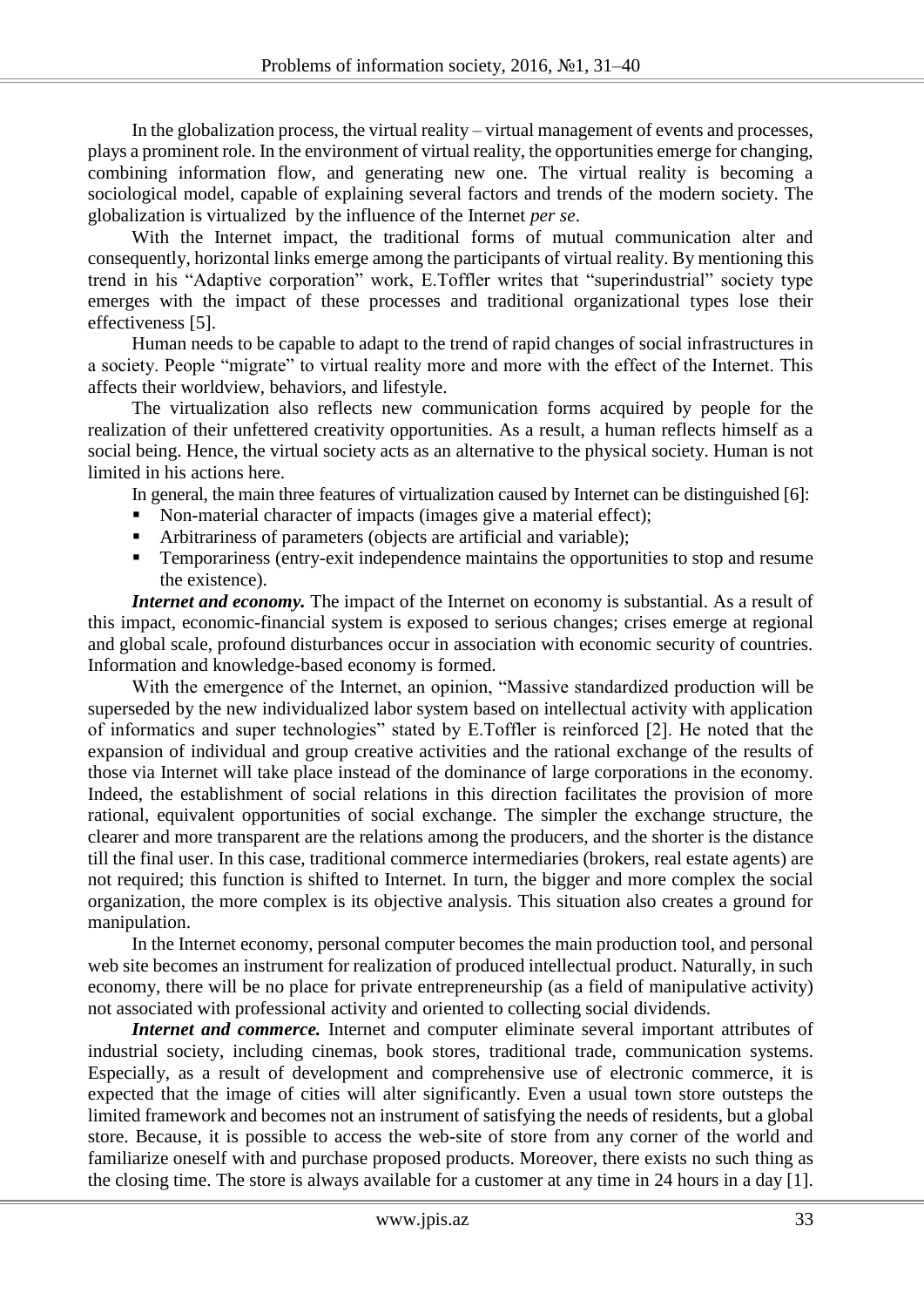In the globalization process, the virtual reality – virtual management of events and processes, plays a prominent role. In the environment of virtual reality, the opportunities emerge for changing, combining information flow, and generating new one. The virtual reality is becoming a sociological model, capable of explaining several factors and trends of the modern society. The globalization is virtualized by the influence of the Internet *per se*.

With the Internet impact, the traditional forms of mutual communication alter and consequently, horizontal links emerge among the participants of virtual reality. By mentioning this trend in his "Adaptive corporation" work, E.Toffler writes that "superindustrial" society type emerges with the impact of these processes and traditional organizational types lose their effectiveness [5].

Human needs to be capable to adapt to the trend of rapid changes of social infrastructures in a society. People "migrate" to virtual reality more and more with the effect of the Internet. This affects their worldview, behaviors, and lifestyle.

The virtualization also reflects new communication forms acquired by people for the realization of their unfettered creativity opportunities. As a result, a human reflects himself as a social being. Hence, the virtual society acts as an alternative to the physical society. Human is not limited in his actions here.

In general, the main three features of virtualization caused by Internet can be distinguished [6]:

- Non-material character of impacts (images give a material effect);
- Arbitrariness of parameters (objects are artificial and variable);
- Temporariness (entry-exit independence maintains the opportunities to stop and resume the existence).

*Internet and economy*. The impact of the Internet on economy is substantial. As a result of this impact, economic-financial system is exposed to serious changes; crises emerge at regional and global scale, profound disturbances occur in association with economic security of countries. Information and knowledge-based economy is formed.

With the emergence of the Internet, an opinion, "Massive standardized production will be superseded by the new individualized labor system based on intellectual activity with application of informatics and super technologies" stated by E.Toffler is reinforced [2]. He noted that the expansion of individual and group creative activities and the rational exchange of the results of those via Internet will take place instead of the dominance of large corporations in the economy. Indeed, the establishment of social relations in this direction facilitates the provision of more rational, equivalent opportunities of social exchange. The simpler the exchange structure, the clearer and more transparent are the relations among the producers, and the shorter is the distance till the final user. In this case, traditional commerce intermediaries (brokers, real estate agents) are not required; this function is shifted to Internet. In turn, the bigger and more complex the social organization, the more complex is its objective analysis. This situation also creates a ground for manipulation.

In the Internet economy, personal computer becomes the main production tool, and personal web site becomes an instrument for realization of produced intellectual product. Naturally, in such economy, there will be no place for private entrepreneurship (as a field of manipulative activity) not associated with professional activity and oriented to collecting social dividends.

*Internet and commerce.* Internet and computer eliminate several important attributes of industrial society, including cinemas, book stores, traditional trade, communication systems. Especially, as a result of development and comprehensive use of electronic commerce, it is expected that the image of cities will alter significantly. Even a usual town store outsteps the limited framework and becomes not an instrument of satisfying the needs of residents, but a global store. Because, it is possible to access the web-site of store from any corner of the world and familiarize oneself with and purchase proposed products. Moreover, there exists no such thing as the closing time. The store is always available for a customer at any time in 24 hours in a day [1].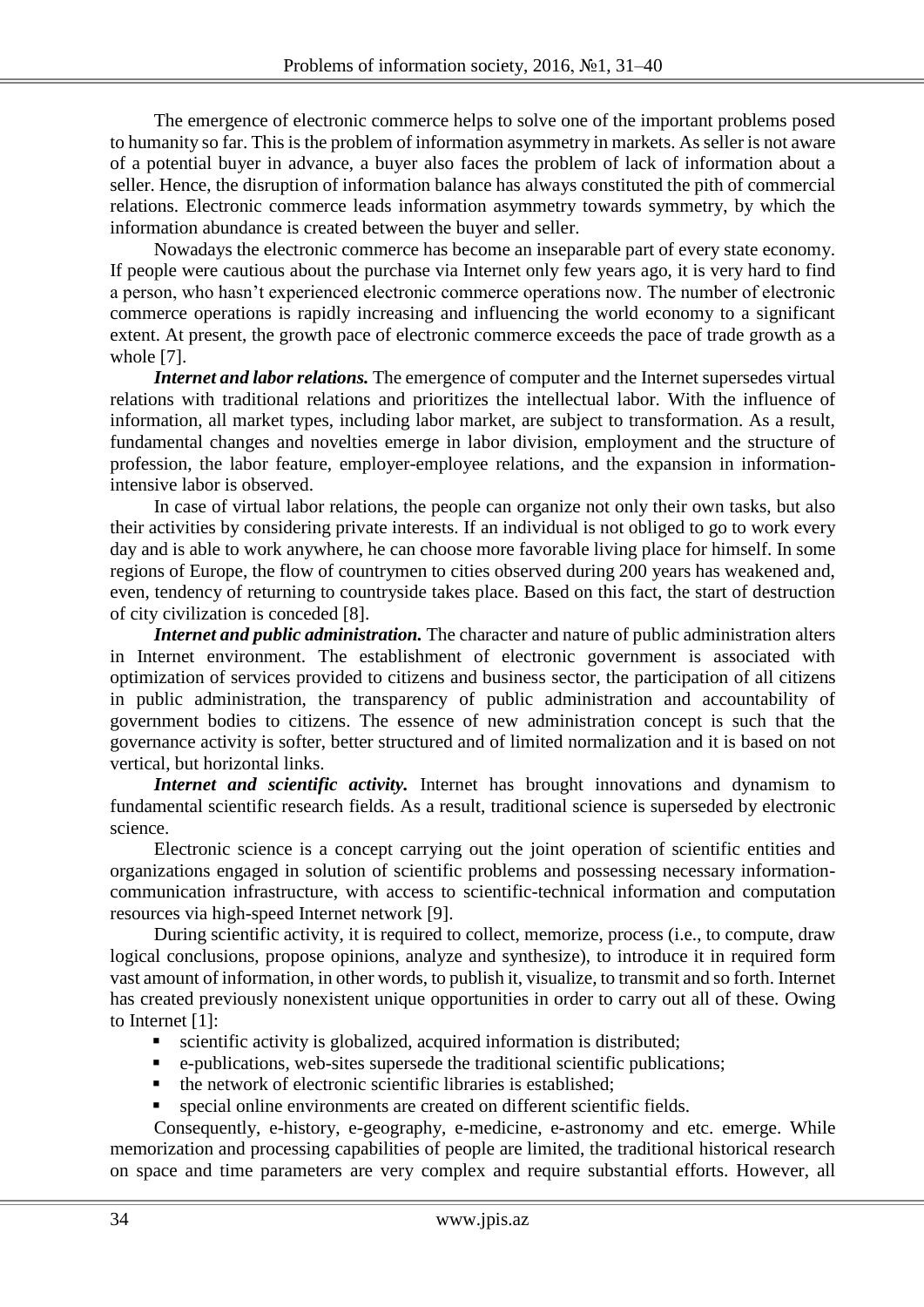The emergence of electronic commerce helps to solve one of the important problems posed to humanity so far. This is the problem of information asymmetry in markets. As seller is not aware of a potential buyer in advance, a buyer also faces the problem of lack of information about a seller. Hence, the disruption of information balance has always constituted the pith of commercial relations. Electronic commerce leads information asymmetry towards symmetry, by which the information abundance is created between the buyer and seller.

Nowadays the electronic commerce has become an inseparable part of every state economy. If people were cautious about the purchase via Internet only few years ago, it is very hard to find a person, who hasn't experienced electronic commerce operations now. The number of electronic commerce operations is rapidly increasing and influencing the world economy to a significant extent. At present, the growth pace of electronic commerce exceeds the pace of trade growth as a whole [7].

*Internet and labor relations.* The emergence of computer and the Internet supersedes virtual relations with traditional relations and prioritizes the intellectual labor. With the influence of information, all market types, including labor market, are subject to transformation. As a result, fundamental changes and novelties emerge in labor division, employment and the structure of profession, the labor feature, employer-employee relations, and the expansion in informationintensive labor is observed.

In case of virtual labor relations, the people can organize not only their own tasks, but also their activities by considering private interests. If an individual is not obliged to go to work every day and is able to work anywhere, he can choose more favorable living place for himself. In some regions of Europe, the flow of countrymen to cities observed during 200 years has weakened and, even, tendency of returning to countryside takes place. Based on this fact, the start of destruction of city civilization is conceded [8].

*Internet and public administration*. The character and nature of public administration alters in Internet environment. The establishment of electronic government is associated with optimization of services provided to citizens and business sector, the participation of all citizens in public administration, the transparency of public administration and accountability of government bodies to citizens. The essence of new administration concept is such that the governance activity is softer, better structured and of limited normalization and it is based on not vertical, but horizontal links.

*Internet and scientific activity.* Internet has brought innovations and dynamism to fundamental scientific research fields. As a result, traditional science is superseded by electronic science.

Electronic science is a concept carrying out the joint operation of scientific entities and organizations engaged in solution of scientific problems and possessing necessary informationcommunication infrastructure, with access to scientific-technical information and computation resources via high-speed Internet network [9].

During scientific activity, it is required to collect, memorize, process (i.e., to compute, draw logical conclusions, propose opinions, analyze and synthesize), to introduce it in required form vast amount of information, in other words, to publish it, visualize, to transmit and so forth. Internet has created previously nonexistent unique opportunities in order to carry out all of these. Owing to Internet [1]:

- scientific activity is globalized, acquired information is distributed;
- e-publications, web-sites supersede the traditional scientific publications;
- the network of electronic scientific libraries is established;
- special online environments are created on different scientific fields.

Consequently, e-history, e-geography, e-medicine, e-astronomy and etc. emerge. While memorization and processing capabilities of people are limited, the traditional historical research on space and time parameters are very complex and require substantial efforts. However, all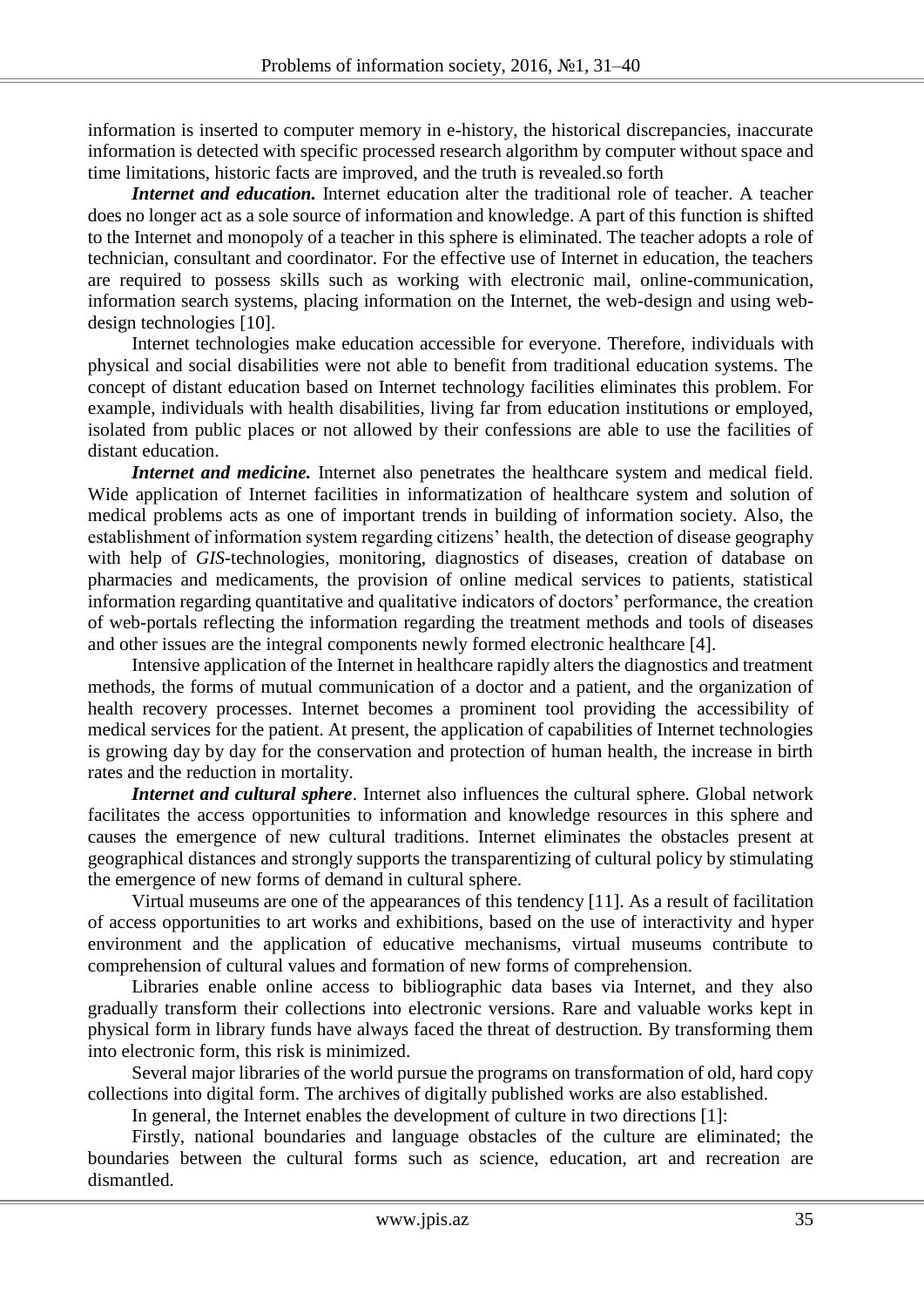information is inserted to computer memory in e-history, the historical discrepancies, inaccurate information is detected with specific processed research algorithm by computer without space and time limitations, historic facts are improved, and the truth is revealed.so forth

*Internet and education.* Internet education alter the traditional role of teacher. A teacher does no longer act as a sole source of information and knowledge. A part of this function is shifted to the Internet and monopoly of a teacher in this sphere is eliminated. The teacher adopts a role of technician, consultant and coordinator. For the effective use of Internet in education, the teachers are required to possess skills such as working with electronic mail, online-communication, information search systems, placing information on the Internet, the web-design and using webdesign technologies [10].

Internet technologies make education accessible for everyone. Therefore, individuals with physical and social disabilities were not able to benefit from traditional education systems. The concept of distant education based on Internet technology facilities eliminates this problem. For example, individuals with health disabilities, living far from education institutions or employed, isolated from public places or not allowed by their confessions are able to use the facilities of distant education.

*Internet and medicine*. Internet also penetrates the healthcare system and medical field. Wide application of Internet facilities in informatization of healthcare system and solution of medical problems acts as one of important trends in building of information society. Also, the establishment of information system regarding citizens' health, the detection of disease geography with help of *GIS*-technologies, monitoring, diagnostics of diseases, creation of database on pharmacies and medicaments, the provision of online medical services to patients, statistical information regarding quantitative and qualitative indicators of doctors' performance, the creation of web-portals reflecting the information regarding the treatment methods and tools of diseases and other issues are the integral components newly formed electronic healthcare [4].

Intensive application of the Internet in healthcare rapidly alters the diagnostics and treatment methods, the forms of mutual communication of a doctor and a patient, and the organization of health recovery processes. Internet becomes a prominent tool providing the accessibility of medical services for the patient. At present, the application of capabilities of Internet technologies is growing day by day for the conservation and protection of human health, the increase in birth rates and the reduction in mortality.

*Internet and cultural sphere*. Internet also influences the cultural sphere. Global network facilitates the access opportunities to information and knowledge resources in this sphere and causes the emergence of new cultural traditions. Internet eliminates the obstacles present at geographical distances and strongly supports the transparentizing of cultural policy by stimulating the emergence of new forms of demand in cultural sphere.

Virtual museums are one of the appearances of this tendency [11]. As a result of facilitation of access opportunities to art works and exhibitions, based on the use of interactivity and hyper environment and the application of educative mechanisms, virtual museums contribute to comprehension of cultural values and formation of new forms of comprehension.

Libraries enable online access to bibliographic data bases via Internet, and they also gradually transform their collections into electronic versions. Rare and valuable works kept in physical form in library funds have always faced the threat of destruction. By transforming them into electronic form, this risk is minimized.

Several major libraries of the world pursue the programs on transformation of old, hard copy collections into digital form. The archives of digitally published works are also established.

In general, the Internet enables the development of culture in two directions [1]:

Firstly, national boundaries and language obstacles of the culture are eliminated; the boundaries between the cultural forms such as science, education, art and recreation are dismantled.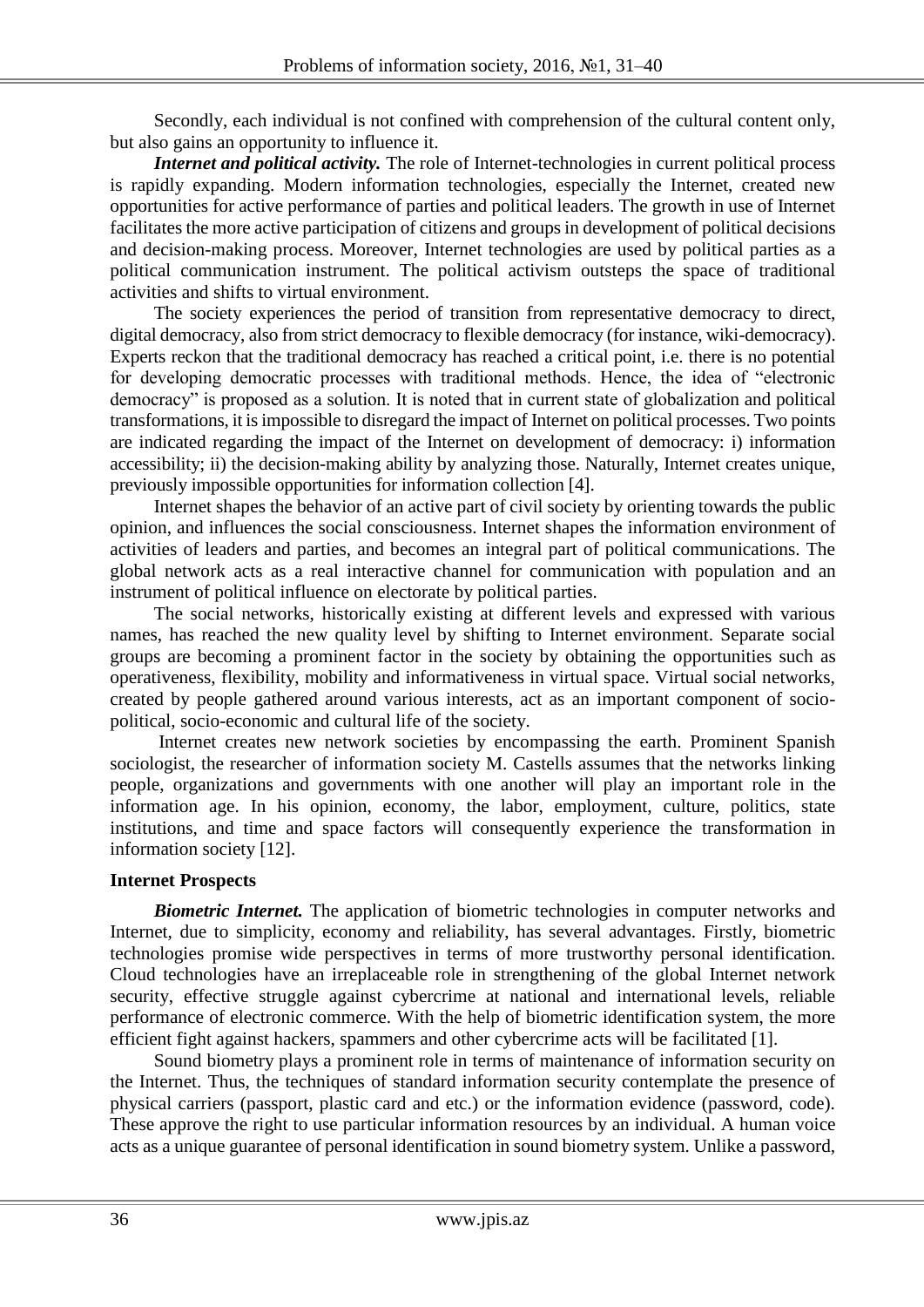Secondly, each individual is not confined with comprehension of the cultural content only, but also gains an opportunity to influence it.

*Internet and political activity.* The role of Internet-technologies in current political process is rapidly expanding. Modern information technologies, especially the Internet, created new opportunities for active performance of parties and political leaders. The growth in use of Internet facilitates the more active participation of citizens and groups in development of political decisions and decision-making process. Moreover, Internet technologies are used by political parties as a political communication instrument. The political activism outsteps the space of traditional activities and shifts to virtual environment.

The society experiences the period of transition from representative democracy to direct, digital democracy, also from strict democracy to flexible democracy (for instance, wiki-democracy). Experts reckon that the traditional democracy has reached a critical point, i.e. there is no potential for developing democratic processes with traditional methods. Hence, the idea of "electronic democracy" is proposed as a solution. It is noted that in current state of globalization and political transformations, it is impossible to disregard the impact of Internet on political processes. Two points are indicated regarding the impact of the Internet on development of democracy: i) information accessibility; ii) the decision-making ability by analyzing those. Naturally, Internet creates unique, previously impossible opportunities for information collection [4].

Internet shapes the behavior of an active part of civil society by orienting towards the public opinion, and influences the social consciousness. Internet shapes the information environment of activities of leaders and parties, and becomes an integral part of political communications. The global network acts as a real interactive channel for communication with population and an instrument of political influence on electorate by political parties.

The social networks, historically existing at different levels and expressed with various names, has reached the new quality level by shifting to Internet environment. Separate social groups are becoming a prominent factor in the society by obtaining the opportunities such as operativeness, flexibility, mobility and informativeness in virtual space. Virtual social networks, created by people gathered around various interests, act as an important component of sociopolitical, socio-economic and cultural life of the society.

Internet creates new network societies by encompassing the earth. Prominent Spanish sociologist, the researcher of information society M. Castells assumes that the networks linking people, organizations and governments with one another will play an important role in the information age. In his opinion, economy, the labor, employment, culture, politics, state institutions, and time and space factors will consequently experience the transformation in information society [12].

## **Internet Prospects**

**Biometric Internet.** The application of biometric technologies in computer networks and Internet, due to simplicity, economy and reliability, has several advantages. Firstly, biometric technologies promise wide perspectives in terms of more trustworthy personal identification. Cloud technologies have an irreplaceable role in strengthening of the global Internet network security, effective struggle against cybercrime at national and international levels, reliable performance of electronic commerce. With the help of biometric identification system, the more efficient fight against hackers, spammers and other cybercrime acts will be facilitated [1].

Sound biometry plays a prominent role in terms of maintenance of information security on the Internet. Thus, the techniques of standard information security contemplate the presence of physical carriers (passport, plastic card and etc.) or the information evidence (password, code). These approve the right to use particular information resources by an individual. A human voice acts as a unique guarantee of personal identification in sound biometry system. Unlike a password,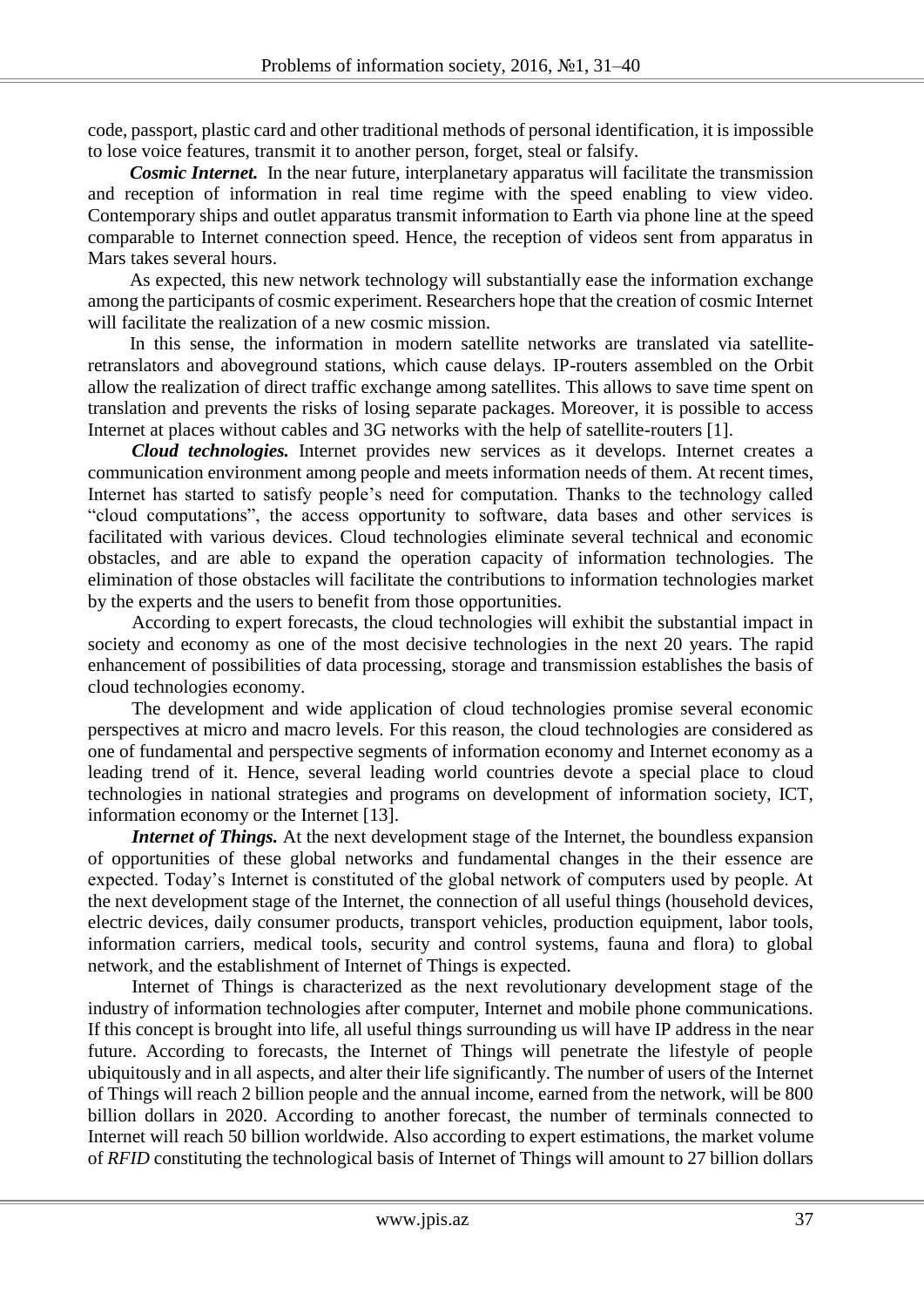code, passport, plastic card and other traditional methods of personal identification, it is impossible to lose voice features, transmit it to another person, forget, steal or falsify.

*Cosmic Internet.* In the near future, interplanetary apparatus will facilitate the transmission and reception of information in real time regime with the speed enabling to view video. Contemporary ships and outlet apparatus transmit information to Earth via phone line at the speed comparable to Internet connection speed. Hence, the reception of videos sent from apparatus in Mars takes several hours.

As expected, this new network technology will substantially ease the information exchange among the participants of cosmic experiment. Researchers hope that the creation of cosmic Internet will facilitate the realization of a new cosmic mission.

In this sense, the information in modern satellite networks are translated via satelliteretranslators and aboveground stations, which cause delays. IP-routers assembled on the Orbit allow the realization of direct traffic exchange among satellites. This allows to save time spent on translation and prevents the risks of losing separate packages. Moreover, it is possible to access Internet at places without cables and 3G networks with the help of satellite-routers [1].

*Cloud technologies.* Internet provides new services as it develops. Internet creates a communication environment among people and meets information needs of them. At recent times, Internet has started to satisfy people's need for computation. Thanks to the technology called "cloud computations", the access opportunity to software, data bases and other services is facilitated with various devices. Cloud technologies eliminate several technical and economic obstacles, and are able to expand the operation capacity of information technologies. The elimination of those obstacles will facilitate the contributions to information technologies market by the experts and the users to benefit from those opportunities.

According to expert forecasts, the cloud technologies will exhibit the substantial impact in society and economy as one of the most decisive technologies in the next 20 years. The rapid enhancement of possibilities of data processing, storage and transmission establishes the basis of cloud technologies economy.

The development and wide application of cloud technologies promise several economic perspectives at micro and macro levels. For this reason, the cloud technologies are considered as one of fundamental and perspective segments of information economy and Internet economy as a leading trend of it. Hence, several leading world countries devote a special place to cloud technologies in national strategies and programs on development of information society, ICT, information economy or the Internet [13].

*Internet of Things.* At the next development stage of the Internet, the boundless expansion of opportunities of these global networks and fundamental changes in the their essence are expected. Today's Internet is constituted of the global network of computers used by people. At the next development stage of the Internet, the connection of all useful things (household devices, electric devices, daily consumer products, transport vehicles, production equipment, labor tools, information carriers, medical tools, security and control systems, fauna and flora) to global network, and the establishment of Internet of Things is expected.

Internet of Things is characterized as the next revolutionary development stage of the industry of information technologies after computer, Internet and mobile phone communications. If this concept is brought into life, all useful things surrounding us will have IP address in the near future. According to forecasts, the Internet of Things will penetrate the lifestyle of people ubiquitously and in all aspects, and alter their life significantly. The number of users of the Internet of Things will reach 2 billion people and the annual income, earned from the network, will be 800 billion dollars in 2020. According to another forecast, the number of terminals connected to Internet will reach 50 billion worldwide. Also according to expert estimations, the market volume of *RFID* constituting the technological basis of Internet of Things will amount to 27 billion dollars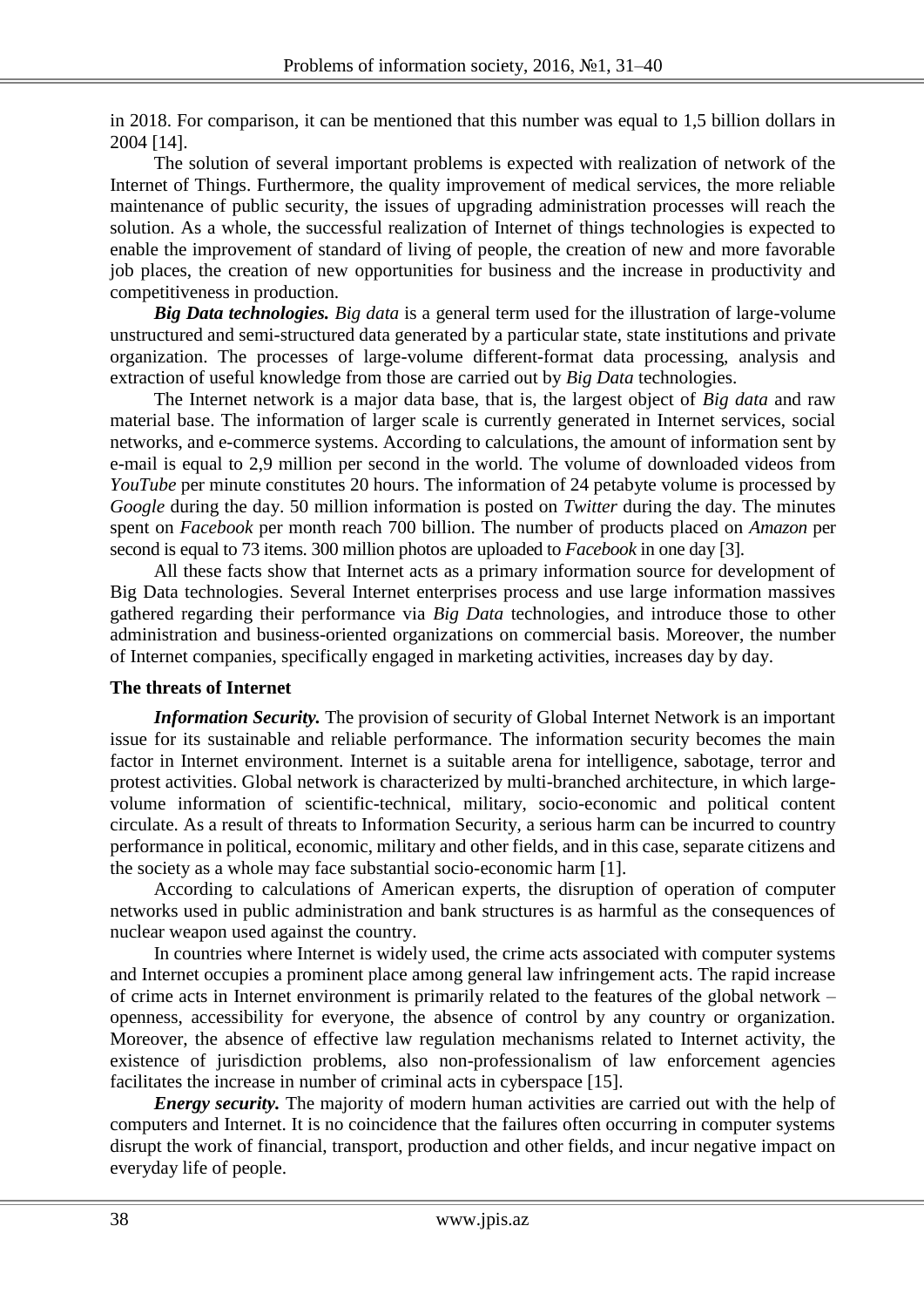in 2018. For comparison, it can be mentioned that this number was equal to 1,5 billion dollars in 2004 [14].

The solution of several important problems is expected with realization of network of the Internet of Things. Furthermore, the quality improvement of medical services, the more reliable maintenance of public security, the issues of upgrading administration processes will reach the solution. As a whole, the successful realization of Internet of things technologies is expected to enable the improvement of standard of living of people, the creation of new and more favorable job places, the creation of new opportunities for business and the increase in productivity and competitiveness in production.

*Big Data technologies. Big data* is a general term used for the illustration of large-volume unstructured and semi-structured data generated by a particular state, state institutions and private organization. The processes of large-volume different-format data processing, analysis and extraction of useful knowledge from those are carried out by *Big Data* technologies.

The Internet network is a major data base, that is, the largest object of *Big data* and raw material base. The information of larger scale is currently generated in Internet services, social networks, and e-commerce systems. According to calculations, the amount of information sent by e-mail is equal to 2,9 million per second in the world. The volume of downloaded videos from *YouTube* per minute constitutes 20 hours. The information of 24 petabyte volume is processed by *Google* during the day. 50 million information is posted on *Twitter* during the day. The minutes spent on *Facebook* per month reach 700 billion. The number of products placed on *Amazon* per second is equal to 73 items. 300 million photos are uploaded to *Facebook* in one day [3].

All these facts show that Internet acts as a primary information source for development of Big Data technologies. Several Internet enterprises process and use large information massives gathered regarding their performance via *Big Data* technologies, and introduce those to other administration and business-oriented organizations on commercial basis. Moreover, the number of Internet companies, specifically engaged in marketing activities, increases day by day.

#### **The threats of Internet**

*Information Security.* The provision of security of Global Internet Network is an important issue for its sustainable and reliable performance. The information security becomes the main factor in Internet environment. Internet is a suitable arena for intelligence, sabotage, terror and protest activities. Global network is characterized by multi-branched architecture, in which largevolume information of scientific-technical, military, socio-economic and political content circulate. As a result of threats to Information Security, a serious harm can be incurred to country performance in political, economic, military and other fields, and in this case, separate citizens and the society as a whole may face substantial socio-economic harm [1].

According to calculations of American experts, the disruption of operation of computer networks used in public administration and bank structures is as harmful as the consequences of nuclear weapon used against the country.

In countries where Internet is widely used, the crime acts associated with computer systems and Internet occupies a prominent place among general law infringement acts. The rapid increase of crime acts in Internet environment is primarily related to the features of the global network – openness, accessibility for everyone, the absence of control by any country or organization. Moreover, the absence of effective law regulation mechanisms related to Internet activity, the existence of jurisdiction problems, also non-professionalism of law enforcement agencies facilitates the increase in number of criminal acts in cyberspace [15].

*Energy security.* The majority of modern human activities are carried out with the help of computers and Internet. It is no coincidence that the failures often occurring in computer systems disrupt the work of financial, transport, production and other fields, and incur negative impact on everyday life of people.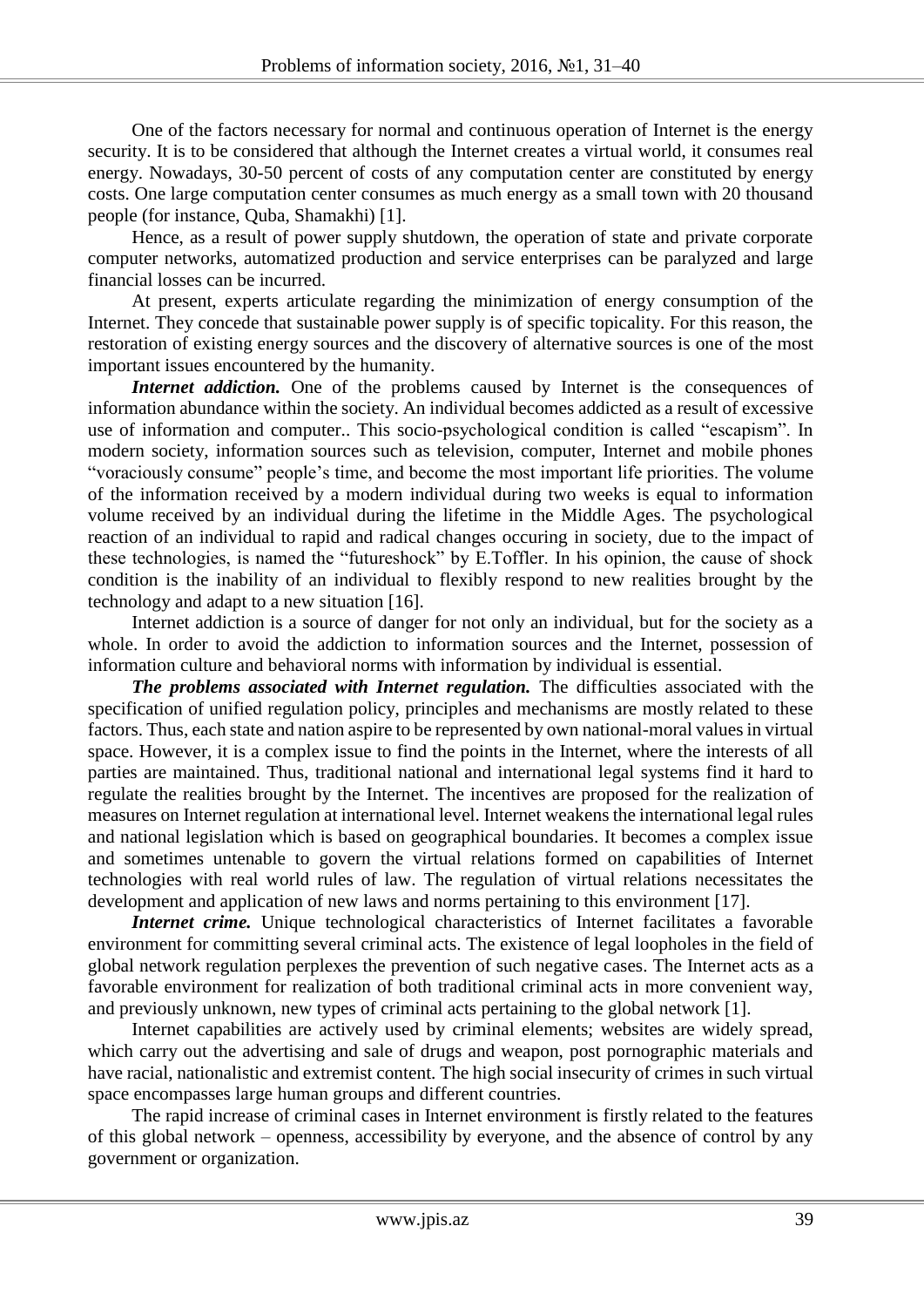One of the factors necessary for normal and continuous operation of Internet is the energy security. It is to be considered that although the Internet creates a virtual world, it consumes real energy. Nowadays, 30-50 percent of costs of any computation center are constituted by energy costs. One large computation center consumes as much energy as a small town with 20 thousand people (for instance, Quba, Shamakhi) [1].

Hence, as a result of power supply shutdown, the operation of state and private corporate computer networks, automatized production and service enterprises can be paralyzed and large financial losses can be incurred.

At present, experts articulate regarding the minimization of energy consumption of the Internet. They concede that sustainable power supply is of specific topicality. For this reason, the restoration of existing energy sources and the discovery of alternative sources is one of the most important issues encountered by the humanity.

*Internet addiction.* One of the problems caused by Internet is the consequences of information abundance within the society. An individual becomes addicted as a result of excessive use of information and computer.. This socio-psychological condition is called "escapism". In modern society, information sources such as television, computer, Internet and mobile phones "voraciously consume" people's time, and become the most important life priorities. The volume of the information received by a modern individual during two weeks is equal to information volume received by an individual during the lifetime in the Middle Ages. The psychological reaction of an individual to rapid and radical changes occuring in society, due to the impact of these technologies, is named the "futureshock" by E.Toffler. In his opinion, the cause of shock condition is the inability of an individual to flexibly respond to new realities brought by the technology and adapt to a new situation [16].

Internet addiction is a source of danger for not only an individual, but for the society as a whole. In order to avoid the addiction to information sources and the Internet, possession of information culture and behavioral norms with information by individual is essential.

*The problems associated with Internet regulation.* The difficulties associated with the specification of unified regulation policy, principles and mechanisms are mostly related to these factors. Thus, each state and nation aspire to be represented by own national-moral values in virtual space. However, it is a complex issue to find the points in the Internet, where the interests of all parties are maintained. Thus, traditional national and international legal systems find it hard to regulate the realities brought by the Internet. The incentives are proposed for the realization of measures on Internet regulation at international level. Internet weakens the international legal rules and national legislation which is based on geographical boundaries. It becomes a complex issue and sometimes untenable to govern the virtual relations formed on capabilities of Internet technologies with real world rules of law. The regulation of virtual relations necessitates the development and application of new laws and norms pertaining to this environment [17].

*Internet crime*. Unique technological characteristics of Internet facilitates a favorable environment for committing several criminal acts. The existence of legal loopholes in the field of global network regulation perplexes the prevention of such negative cases. The Internet acts as a favorable environment for realization of both traditional criminal acts in more convenient way, and previously unknown, new types of criminal acts pertaining to the global network [1].

Internet capabilities are actively used by criminal elements; websites are widely spread, which carry out the advertising and sale of drugs and weapon, post pornographic materials and have racial, nationalistic and extremist content. The high social insecurity of crimes in such virtual space encompasses large human groups and different countries.

The rapid increase of criminal cases in Internet environment is firstly related to the features of this global network – openness, accessibility by everyone, and the absence of control by any government or organization.